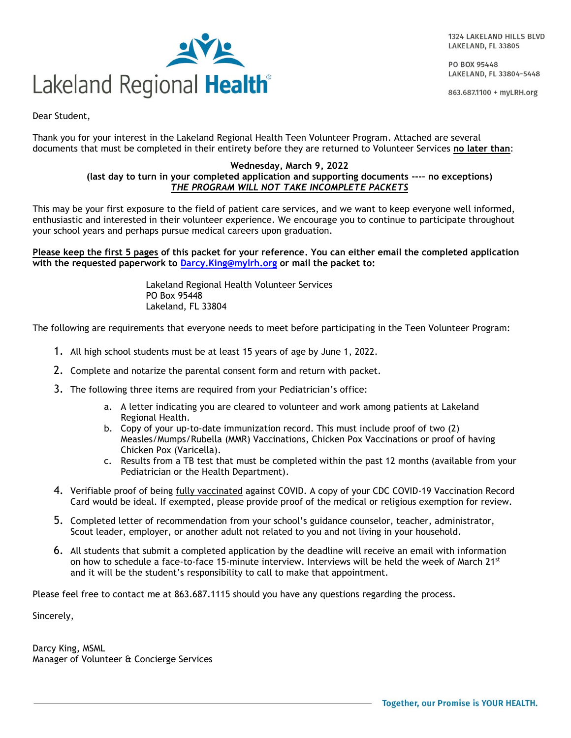1324 LAKELAND HILLS BLVD LAKELAND, FL 33805

PO BOX 95448 LAKELAND, FL 33804-5448

863.687.1100 + myLRH.org



Dear Student,

Thank you for your interest in the Lakeland Regional Health Teen Volunteer Program. Attached are several documents that must be completed in their entirety before they are returned to Volunteer Services **no later than**:

#### **Wednesday, March 9, 2022 (last day to turn in your completed application and supporting documents ---– no exceptions)** *THE PROGRAM WILL NOT TAKE INCOMPLETE PACKETS*

This may be your first exposure to the field of patient care services, and we want to keep everyone well informed, enthusiastic and interested in their volunteer experience. We encourage you to continue to participate throughout your school years and perhaps pursue medical careers upon graduation.

**Please keep the first 5 pages of this packet for your reference. You can either email the completed application with the requested paperwork to [Darcy.King@mylrh.org](mailto:Darcy.King@mylrh.org) or mail the packet to:**

> Lakeland Regional Health Volunteer Services PO Box 95448 Lakeland, FL 33804

The following are requirements that everyone needs to meet before participating in the Teen Volunteer Program:

- 1. All high school students must be at least 15 years of age by June 1, 2022.
- 2. Complete and notarize the parental consent form and return with packet.
- 3. The following three items are required from your Pediatrician's office:
	- a. A letter indicating you are cleared to volunteer and work among patients at Lakeland Regional Health.
	- b. Copy of your up-to-date immunization record. This must include proof of two (2) Measles/Mumps/Rubella (MMR) Vaccinations, Chicken Pox Vaccinations or proof of having Chicken Pox (Varicella).
	- c. Results from a TB test that must be completed within the past 12 months (available from your Pediatrician or the Health Department).
- 4. Verifiable proof of being fully vaccinated against COVID. A copy of your CDC COVID-19 Vaccination Record Card would be ideal. If exempted, please provide proof of the medical or religious exemption for review.
- 5. Completed letter of recommendation from your school's guidance counselor, teacher, administrator, Scout leader, employer, or another adult not related to you and not living in your household.
- 6. All students that submit a completed application by the deadline will receive an email with information on how to schedule a face-to-face 15-minute interview. Interviews will be held the week of March 21st and it will be the student's responsibility to call to make that appointment.

Please feel free to contact me at 863.687.1115 should you have any questions regarding the process.

Sincerely,

Darcy King, MSML Manager of Volunteer & Concierge Services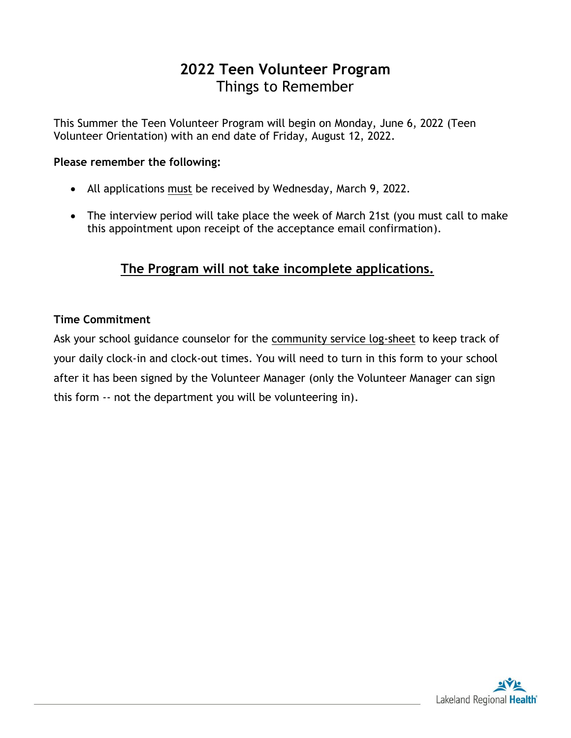# **2022 Teen Volunteer Program** Things to Remember

This Summer the Teen Volunteer Program will begin on Monday, June 6, 2022 (Teen Volunteer Orientation) with an end date of Friday, August 12, 2022.

#### **Please remember the following:**

- All applications must be received by Wednesday, March 9, 2022.
- The interview period will take place the week of March 21st (you must call to make this appointment upon receipt of the acceptance email confirmation).

# **The Program will not take incomplete applications.**

## **Time Commitment**

Ask your school guidance counselor for the community service log-sheet to keep track of your daily clock-in and clock-out times. You will need to turn in this form to your school after it has been signed by the Volunteer Manager (only the Volunteer Manager can sign this form -- not the department you will be volunteering in).

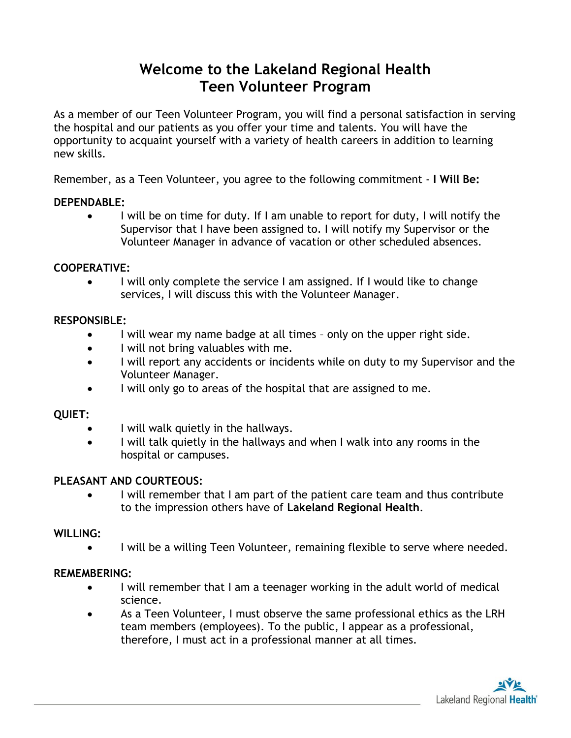# **Welcome to the Lakeland Regional Health Teen Volunteer Program**

As a member of our Teen Volunteer Program, you will find a personal satisfaction in serving the hospital and our patients as you offer your time and talents. You will have the opportunity to acquaint yourself with a variety of health careers in addition to learning new skills.

Remember, as a Teen Volunteer, you agree to the following commitment - **I Will Be:**

#### **DEPENDABLE:**

• I will be on time for duty. If I am unable to report for duty, I will notify the Supervisor that I have been assigned to. I will notify my Supervisor or the Volunteer Manager in advance of vacation or other scheduled absences.

#### **COOPERATIVE:**

• I will only complete the service I am assigned. If I would like to change services, I will discuss this with the Volunteer Manager.

#### **RESPONSIBLE:**

- I will wear my name badge at all times only on the upper right side.
- I will not bring valuables with me.
- I will report any accidents or incidents while on duty to my Supervisor and the Volunteer Manager.
- I will only go to areas of the hospital that are assigned to me.

## **QUIET:**

- I will walk quietly in the hallways.
- I will talk quietly in the hallways and when I walk into any rooms in the hospital or campuses.

## **PLEASANT AND COURTEOUS:**

• I will remember that I am part of the patient care team and thus contribute to the impression others have of **Lakeland Regional Health**.

#### **WILLING:**

• I will be a willing Teen Volunteer, remaining flexible to serve where needed.

#### **REMEMBERING:**

- I will remember that I am a teenager working in the adult world of medical science.
- As a Teen Volunteer, I must observe the same professional ethics as the LRH team members (employees). To the public, I appear as a professional, therefore, I must act in a professional manner at all times.

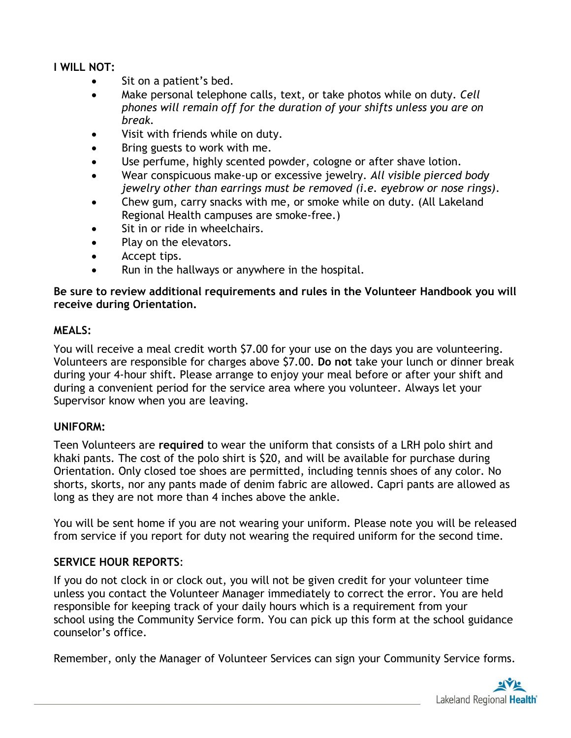## **I WILL NOT:**

- Sit on a patient's bed.
- Make personal telephone calls, text, or take photos while on duty. *Cell phones will remain off for the duration of your shifts unless you are on break.*
- Visit with friends while on duty.
- Bring guests to work with me.
- Use perfume, highly scented powder, cologne or after shave lotion.
- Wear conspicuous make-up or excessive jewelry. *All visible pierced body jewelry other than earrings must be removed (i.e. eyebrow or nose rings)*.
- Chew gum, carry snacks with me, or smoke while on duty. (All Lakeland Regional Health campuses are smoke-free.)
- Sit in or ride in wheelchairs.
- Play on the elevators.
- Accept tips.
- Run in the hallways or anywhere in the hospital.

#### **Be sure to review additional requirements and rules in the Volunteer Handbook you will receive during Orientation.**

#### **MEALS:**

You will receive a meal credit worth \$7.00 for your use on the days you are volunteering. Volunteers are responsible for charges above \$7.00. **Do not** take your lunch or dinner break during your 4-hour shift. Please arrange to enjoy your meal before or after your shift and during a convenient period for the service area where you volunteer. Always let your Supervisor know when you are leaving.

#### **UNIFORM:**

Teen Volunteers are **required** to wear the uniform that consists of a LRH polo shirt and khaki pants. The cost of the polo shirt is \$20, and will be available for purchase during Orientation. Only closed toe shoes are permitted, including tennis shoes of any color. No shorts, skorts, nor any pants made of denim fabric are allowed. Capri pants are allowed as long as they are not more than 4 inches above the ankle.

You will be sent home if you are not wearing your uniform. Please note you will be released from service if you report for duty not wearing the required uniform for the second time.

#### **SERVICE HOUR REPORTS**:

If you do not clock in or clock out, you will not be given credit for your volunteer time unless you contact the Volunteer Manager immediately to correct the error. You are held responsible for keeping track of your daily hours which is a requirement from your school using the Community Service form. You can pick up this form at the school guidance counselor's office.

Remember, only the Manager of Volunteer Services can sign your Community Service forms.

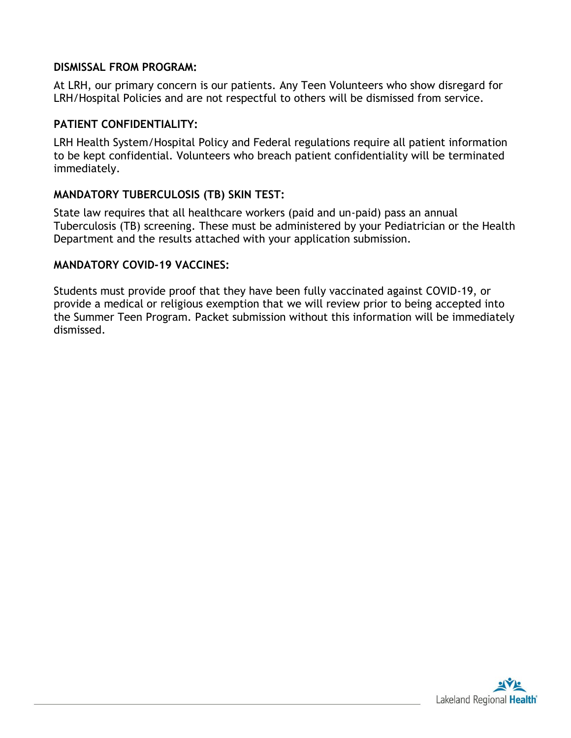#### **DISMISSAL FROM PROGRAM:**

At LRH, our primary concern is our patients. Any Teen Volunteers who show disregard for LRH/Hospital Policies and are not respectful to others will be dismissed from service.

#### **PATIENT CONFIDENTIALITY:**

LRH Health System/Hospital Policy and Federal regulations require all patient information to be kept confidential. Volunteers who breach patient confidentiality will be terminated immediately.

## **MANDATORY TUBERCULOSIS (TB) SKIN TEST:**

State law requires that all healthcare workers (paid and un-paid) pass an annual Tuberculosis (TB) screening. These must be administered by your Pediatrician or the Health Department and the results attached with your application submission.

#### **MANDATORY COVID-19 VACCINES:**

Students must provide proof that they have been fully vaccinated against COVID-19, or provide a medical or religious exemption that we will review prior to being accepted into the Summer Teen Program. Packet submission without this information will be immediately dismissed.

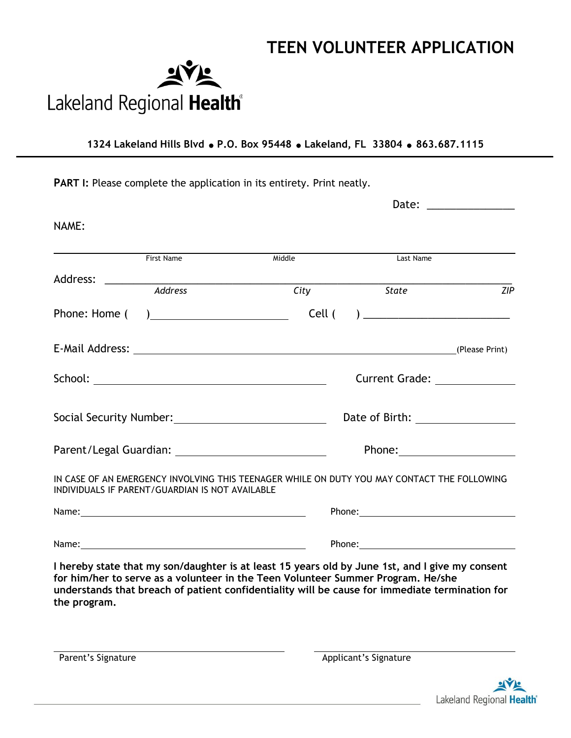# **TEEN VOLUNTEER APPLICATION**



**1324 Lakeland Hills Blvd P.O. Box 95448 Lakeland, FL 33804 863.687.1115**

PART I: Please complete the application in its entirety. Print neatly.

|              |                                                 |                                                                                                                                                                                                                                                                                       |  |           | Date: ______________ |
|--------------|-------------------------------------------------|---------------------------------------------------------------------------------------------------------------------------------------------------------------------------------------------------------------------------------------------------------------------------------------|--|-----------|----------------------|
| NAME:        |                                                 |                                                                                                                                                                                                                                                                                       |  |           |                      |
|              | First Name                                      | Middle                                                                                                                                                                                                                                                                                |  | Last Name |                      |
|              |                                                 |                                                                                                                                                                                                                                                                                       |  |           |                      |
|              | Address                                         | City                                                                                                                                                                                                                                                                                  |  | State     | ZIP                  |
|              |                                                 |                                                                                                                                                                                                                                                                                       |  |           |                      |
|              |                                                 | E-Mail Address: (Please Print)                                                                                                                                                                                                                                                        |  |           |                      |
|              |                                                 |                                                                                                                                                                                                                                                                                       |  |           | Current Grade: 2008  |
|              |                                                 |                                                                                                                                                                                                                                                                                       |  |           |                      |
|              |                                                 | Phone: <u>_________________________________</u>                                                                                                                                                                                                                                       |  |           |                      |
|              | INDIVIDUALS IF PARENT/GUARDIAN IS NOT AVAILABLE | IN CASE OF AN EMERGENCY INVOLVING THIS TEENAGER WHILE ON DUTY YOU MAY CONTACT THE FOLLOWING                                                                                                                                                                                           |  |           |                      |
|              |                                                 |                                                                                                                                                                                                                                                                                       |  |           |                      |
|              |                                                 |                                                                                                                                                                                                                                                                                       |  |           |                      |
| the program. |                                                 | I hereby state that my son/daughter is at least 15 years old by June 1st, and I give my consent<br>for him/her to serve as a volunteer in the Teen Volunteer Summer Program. He/she<br>understands that breach of patient confidentiality will be cause for immediate termination for |  |           |                      |

Parent's Signature **Applicant's Signature** Applicant's Signature

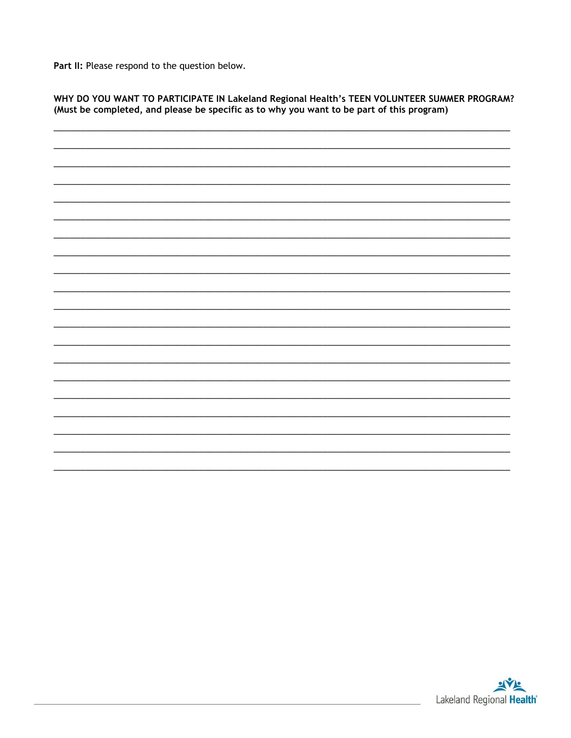Part II: Please respond to the question below.

WHY DO YOU WANT TO PARTICIPATE IN Lakeland Regional Health's TEEN VOLUNTEER SUMMER PROGRAM? (Must be completed, and please be specific as to why you want to be part of this program)

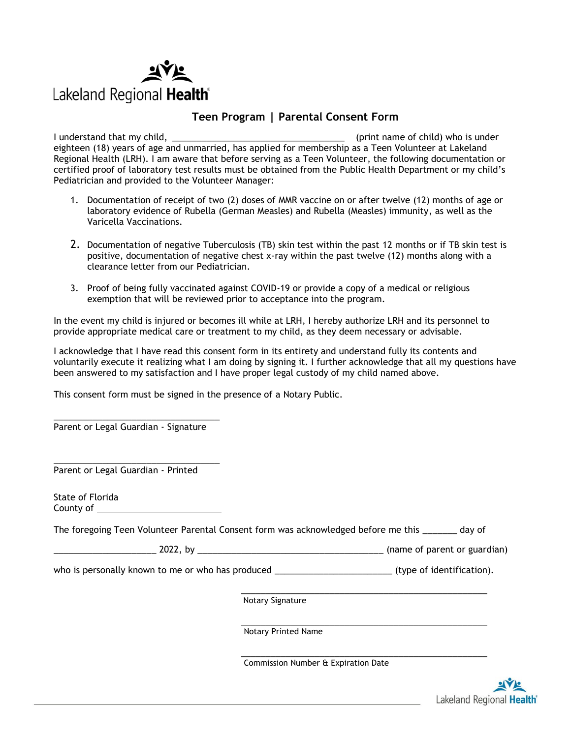

#### **Teen Program | Parental Consent Form**

I understand that my child, the state of child is under the state of child) who is under eighteen (18) years of age and unmarried, has applied for membership as a Teen Volunteer at Lakeland Regional Health (LRH). I am aware that before serving as a Teen Volunteer, the following documentation or certified proof of laboratory test results must be obtained from the Public Health Department or my child's Pediatrician and provided to the Volunteer Manager:

- 1. Documentation of receipt of two (2) doses of MMR vaccine on or after twelve (12) months of age or laboratory evidence of Rubella (German Measles) and Rubella (Measles) immunity, as well as the Varicella Vaccinations.
- 2. Documentation of negative Tuberculosis (TB) skin test within the past 12 months or if TB skin test is positive, documentation of negative chest x-ray within the past twelve (12) months along with a clearance letter from our Pediatrician.
- 3. Proof of being fully vaccinated against COVID-19 or provide a copy of a medical or religious exemption that will be reviewed prior to acceptance into the program.

In the event my child is injured or becomes ill while at LRH, I hereby authorize LRH and its personnel to provide appropriate medical care or treatment to my child, as they deem necessary or advisable.

I acknowledge that I have read this consent form in its entirety and understand fully its contents and voluntarily execute it realizing what I am doing by signing it. I further acknowledge that all my questions have been answered to my satisfaction and I have proper legal custody of my child named above.

This consent form must be signed in the presence of a Notary Public.

\_\_\_\_\_\_\_\_\_\_\_\_\_\_\_\_\_\_\_\_\_\_\_\_\_\_\_\_\_\_\_\_\_\_ Parent or Legal Guardian - Signature

\_\_\_\_\_\_\_\_\_\_\_\_\_\_\_\_\_\_\_\_\_\_\_\_\_\_\_\_\_\_\_\_\_\_ Parent or Legal Guardian - Printed

State of Florida County of

The foregoing Teen Volunteer Parental Consent form was acknowledged before me this day of

\_\_\_\_\_\_\_\_\_\_\_\_\_\_\_\_\_\_\_\_\_ 2022, by \_\_\_\_\_\_\_\_\_\_\_\_\_\_\_\_\_\_\_\_\_\_\_\_\_\_\_\_\_\_\_\_\_\_\_\_\_\_ (name of parent or guardian)

who is personally known to me or who has produced  $\rho$  and  $\rho$  (type of identification).

\_\_\_\_\_\_\_\_\_\_\_\_\_\_\_\_\_\_\_\_\_\_\_\_\_\_\_\_\_\_\_\_\_\_\_\_\_\_\_\_\_\_\_\_\_\_\_\_\_\_ Notary Signature

\_\_\_\_\_\_\_\_\_\_\_\_\_\_\_\_\_\_\_\_\_\_\_\_\_\_\_\_\_\_\_\_\_\_\_\_\_\_\_\_\_\_\_\_\_\_\_\_\_\_ Notary Printed Name

\_\_\_\_\_\_\_\_\_\_\_\_\_\_\_\_\_\_\_\_\_\_\_\_\_\_\_\_\_\_\_\_\_\_\_\_\_\_\_\_\_\_\_\_\_\_\_\_\_\_ Commission Number & Expiration Date

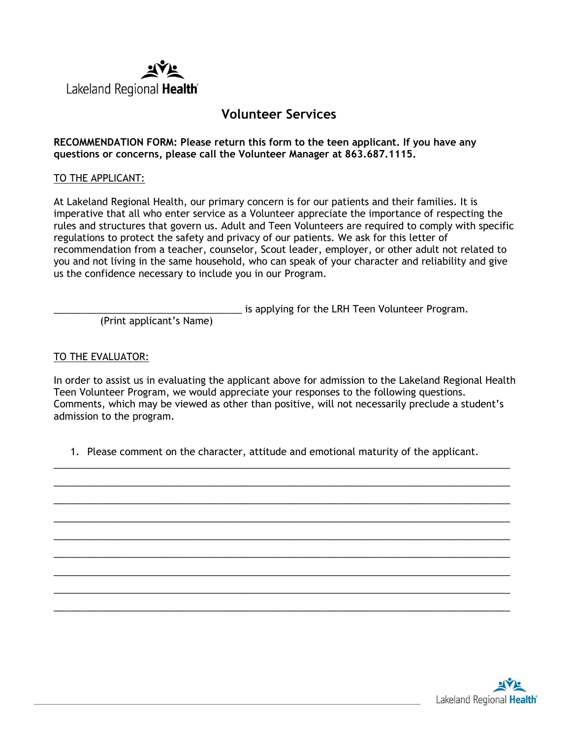

## **Volunteer Services**

**RECOMMENDATION FORM: Please return this form to the teen applicant. If you have any questions or concerns, please call the Volunteer Manager at 863.687.1115.** 

#### TO THE APPLICANT:

At Lakeland Regional Health, our primary concern is for our patients and their families. It is imperative that all who enter service as a Volunteer appreciate the importance of respecting the rules and structures that govern us. Adult and Teen Volunteers are required to comply with specific regulations to protect the safety and privacy of our patients. We ask for this letter of recommendation from a teacher, counselor, Scout leader, employer, or other adult not related to you and not living in the same household, who can speak of your character and reliability and give us the confidence necessary to include you in our Program.

is applying for the LRH Teen Volunteer Program.

(Print applicant's Name)

#### TO THE EVALUATOR:

In order to assist us in evaluating the applicant above for admission to the Lakeland Regional Health Teen Volunteer Program, we would appreciate your responses to the following questions. Comments, which may be viewed as other than positive, will not necessarily preclude a student's admission to the program.

1. Please comment on the character, attitude and emotional maturity of the applicant.

\_\_\_\_\_\_\_\_\_\_\_\_\_\_\_\_\_\_\_\_\_\_\_\_\_\_\_\_\_\_\_\_\_\_\_\_\_\_\_\_\_\_\_\_\_\_\_\_\_\_\_\_\_\_\_\_\_\_\_\_\_\_\_\_\_\_\_\_\_\_\_\_\_\_\_\_\_\_\_\_\_\_\_\_\_ \_\_\_\_\_\_\_\_\_\_\_\_\_\_\_\_\_\_\_\_\_\_\_\_\_\_\_\_\_\_\_\_\_\_\_\_\_\_\_\_\_\_\_\_\_\_\_\_\_\_\_\_\_\_\_\_\_\_\_\_\_\_\_\_\_\_\_\_\_\_\_\_\_\_\_\_\_\_\_\_\_\_\_\_\_ \_\_\_\_\_\_\_\_\_\_\_\_\_\_\_\_\_\_\_\_\_\_\_\_\_\_\_\_\_\_\_\_\_\_\_\_\_\_\_\_\_\_\_\_\_\_\_\_\_\_\_\_\_\_\_\_\_\_\_\_\_\_\_\_\_\_\_\_\_\_\_\_\_\_\_\_\_\_\_\_\_\_\_\_\_ \_\_\_\_\_\_\_\_\_\_\_\_\_\_\_\_\_\_\_\_\_\_\_\_\_\_\_\_\_\_\_\_\_\_\_\_\_\_\_\_\_\_\_\_\_\_\_\_\_\_\_\_\_\_\_\_\_\_\_\_\_\_\_\_\_\_\_\_\_\_\_\_\_\_\_\_\_\_\_\_\_\_\_\_\_ \_\_\_\_\_\_\_\_\_\_\_\_\_\_\_\_\_\_\_\_\_\_\_\_\_\_\_\_\_\_\_\_\_\_\_\_\_\_\_\_\_\_\_\_\_\_\_\_\_\_\_\_\_\_\_\_\_\_\_\_\_\_\_\_\_\_\_\_\_\_\_\_\_\_\_\_\_\_\_\_\_\_\_\_\_ \_\_\_\_\_\_\_\_\_\_\_\_\_\_\_\_\_\_\_\_\_\_\_\_\_\_\_\_\_\_\_\_\_\_\_\_\_\_\_\_\_\_\_\_\_\_\_\_\_\_\_\_\_\_\_\_\_\_\_\_\_\_\_\_\_\_\_\_\_\_\_\_\_\_\_\_\_\_\_\_\_\_\_\_\_ \_\_\_\_\_\_\_\_\_\_\_\_\_\_\_\_\_\_\_\_\_\_\_\_\_\_\_\_\_\_\_\_\_\_\_\_\_\_\_\_\_\_\_\_\_\_\_\_\_\_\_\_\_\_\_\_\_\_\_\_\_\_\_\_\_\_\_\_\_\_\_\_\_\_\_\_\_\_\_\_\_\_\_\_\_  $\_$  , and the set of the set of the set of the set of the set of the set of the set of the set of the set of the set of the set of the set of the set of the set of the set of the set of the set of the set of the set of th \_\_\_\_\_\_\_\_\_\_\_\_\_\_\_\_\_\_\_\_\_\_\_\_\_\_\_\_\_\_\_\_\_\_\_\_\_\_\_\_\_\_\_\_\_\_\_\_\_\_\_\_\_\_\_\_\_\_\_\_\_\_\_\_\_\_\_\_\_\_\_\_\_\_\_\_\_\_\_\_\_\_\_\_\_